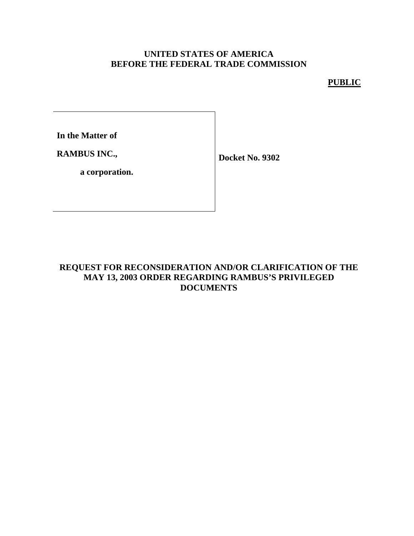## **UNITED STATES OF AMERICA BEFORE THE FEDERAL TRADE COMMISSION**

# **PUBLIC**

**In the Matter of**

**RAMBUS INC.,**

**Docket No. 9302**

**a corporation.**

### **REQUEST FOR RECONSIDERATION AND/OR CLARIFICATION OF THE MAY 13, 2003 ORDER REGARDING RAMBUS'S PRIVILEGED DOCUMENTS**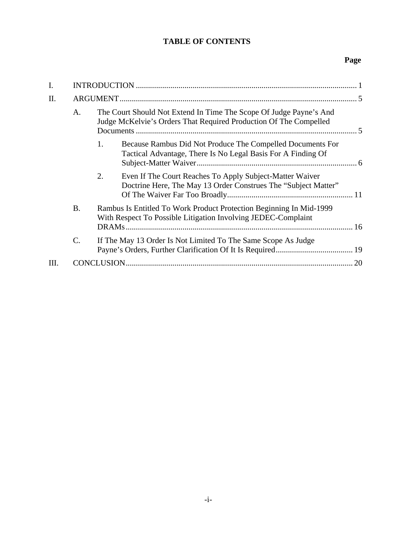# **TABLE OF CONTENTS**

# **Page**

| I.   |           |                                                                                                                                      |                                                                                                                                         |  |  |
|------|-----------|--------------------------------------------------------------------------------------------------------------------------------------|-----------------------------------------------------------------------------------------------------------------------------------------|--|--|
| Π.   |           |                                                                                                                                      |                                                                                                                                         |  |  |
|      | A.        |                                                                                                                                      | The Court Should Not Extend In Time The Scope Of Judge Payne's And<br>Judge McKelvie's Orders That Required Production Of The Compelled |  |  |
|      |           | 1.                                                                                                                                   | Because Rambus Did Not Produce The Compelled Documents For<br>Tactical Advantage, There Is No Legal Basis For A Finding Of              |  |  |
|      |           | 2.                                                                                                                                   | Even If The Court Reaches To Apply Subject-Matter Waiver<br>Doctrine Here, The May 13 Order Construes The "Subject Matter"              |  |  |
|      | <b>B.</b> | Rambus Is Entitled To Work Product Protection Beginning In Mid-1999<br>With Respect To Possible Litigation Involving JEDEC-Complaint |                                                                                                                                         |  |  |
|      | C.        |                                                                                                                                      | If The May 13 Order Is Not Limited To The Same Scope As Judge                                                                           |  |  |
| III. |           | CONCLUSION.                                                                                                                          |                                                                                                                                         |  |  |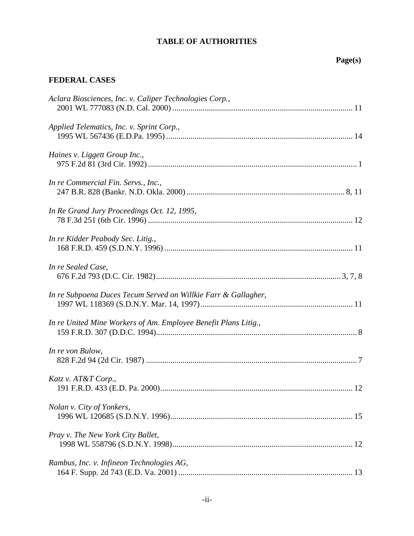# **TABLE OF AUTHORITIES**

# **Page(s)**

# **FEDERAL CASES**

| Aclara Biosciences, Inc. v. Caliper Technologies Corp.,         |  |
|-----------------------------------------------------------------|--|
| Applied Telematics, Inc. v. Sprint Corp.,                       |  |
| Haines v. Liggett Group Inc.,                                   |  |
| In re Commercial Fin. Servs., Inc.,                             |  |
| In Re Grand Jury Proceedings Oct. 12, 1995,                     |  |
| In re Kidder Peabody Sec. Litig.,                               |  |
| In re Sealed Case,                                              |  |
| In re Subpoena Duces Tecum Served on Willkie Farr & Gallagher,  |  |
| In re United Mine Workers of Am. Employee Benefit Plans Litig., |  |
| In re von Bulow,                                                |  |
| Katz v. AT&T Corp.,                                             |  |
| Nolan v. City of Yonkers,                                       |  |
| Pray v. The New York City Ballet,                               |  |
| Rambus, Inc. v. Infineon Technologies AG,                       |  |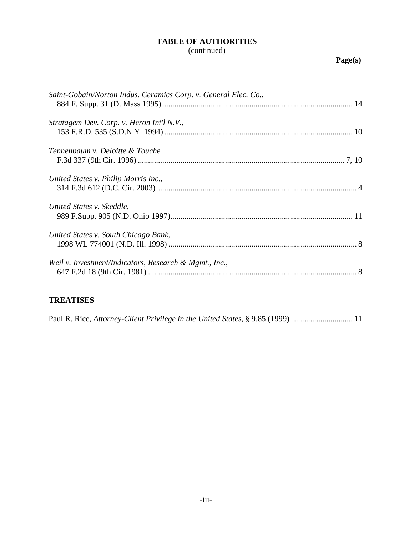# **TABLE OF AUTHORITIES**

(continued)

| Saint-Gobain/Norton Indus. Ceramics Corp. v. General Elec. Co., |
|-----------------------------------------------------------------|
| Stratagem Dev. Corp. v. Heron Int'l N.V.,                       |
|                                                                 |
| Tennenbaum v. Deloitte & Touche                                 |
|                                                                 |
| United States v. Philip Morris Inc.,                            |
| United States v. Skeddle,                                       |
| United States v. South Chicago Bank,                            |
| Weil v. Investment/Indicators, Research & Mgmt., Inc.,          |

# **TREATISES**

Paul R. Rice, *Attorney-Client Privilege in the United States*, § 9.85 (1999)............................... 11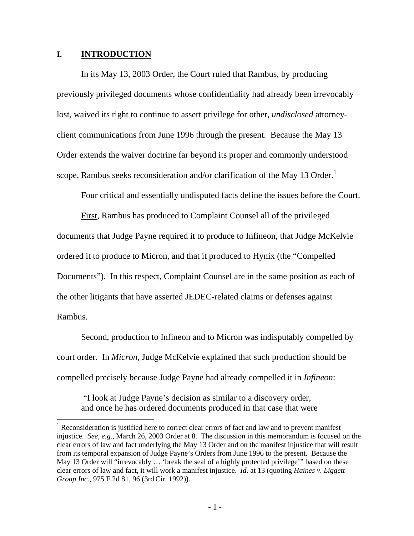#### **I. INTRODUCTION**

 $\overline{a}$ 

In its May 13, 2003 Order, the Court ruled that Rambus, by producing previously privileged documents whose confidentiality had already been irrevocably lost, waived its right to continue to assert privilege for other, *undisclosed* attorneyclient communications from June 1996 through the present. Because the May 13 Order extends the waiver doctrine far beyond its proper and commonly understood scope, Rambus seeks reconsideration and/or clarification of the May 13 Order.<sup>1</sup>

Four critical and essentially undisputed facts define the issues before the Court.

First, Rambus has produced to Complaint Counsel all of the privileged documents that Judge Payne required it to produce to Infineon, that Judge McKelvie ordered it to produce to Micron, and that it produced to Hynix (the "Compelled Documents"). In this respect, Complaint Counsel are in the same position as each of the other litigants that have asserted JEDEC-related claims or defenses against Rambus.

Second, production to Infineon and to Micron was indisputably compelled by court order. In *Micron*, Judge McKelvie explained that such production should be compelled precisely because Judge Payne had already compelled it in *Infineon*:

"I look at Judge Payne's decision as similar to a discovery order, and once he has ordered documents produced in that case that were

<sup>&</sup>lt;sup>1</sup> Reconsideration is justified here to correct clear errors of fact and law and to prevent manifest injustice. *See, e.g.,* March 26, 2003 Order at 8. The discussion in this memorandum is focused on the clear errors of law and fact underlying the May 13 Order and on the manifest injustice that will result from its temporal expansion of Judge Payne's Orders from June 1996 to the present. Because the May 13 Order will "irrevocably ... 'break the seal of a highly protected privilege'" based on these clear errors of law and fact, it will work a manifest injustice. *Id*. at 13 (quoting *Haines v. Liggett Group Inc.*, 975 F.2d 81, 96 (3rd Cir. 1992)).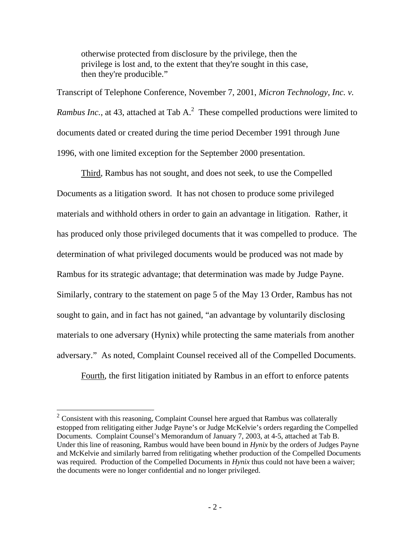otherwise protected from disclosure by the privilege, then the privilege is lost and, to the extent that they're sought in this case, then they're producible."

Transcript of Telephone Conference, November 7, 2001, *Micron Technology, Inc. v. Rambus Inc.*, at 43, attached at Tab A.<sup>2</sup> These compelled productions were limited to documents dated or created during the time period December 1991 through June 1996, with one limited exception for the September 2000 presentation.

Third, Rambus has not sought, and does not seek, to use the Compelled Documents as a litigation sword. It has not chosen to produce some privileged materials and withhold others in order to gain an advantage in litigation. Rather, it has produced only those privileged documents that it was compelled to produce. The determination of what privileged documents would be produced was not made by Rambus for its strategic advantage; that determination was made by Judge Payne. Similarly, contrary to the statement on page 5 of the May 13 Order, Rambus has not sought to gain, and in fact has not gained, "an advantage by voluntarily disclosing materials to one adversary (Hynix) while protecting the same materials from another adversary." As noted, Complaint Counsel received all of the Compelled Documents.

Fourth, the first litigation initiated by Rambus in an effort to enforce patents

 $\overline{a}$ 

 $2^2$  Consistent with this reasoning, Complaint Counsel here argued that Rambus was collaterally estopped from relitigating either Judge Payne's or Judge McKelvie's orders regarding the Compelled Documents. Complaint Counsel's Memorandum of January 7, 2003, at 4-5, attached at Tab B. Under this line of reasoning, Rambus would have been bound in *Hynix* by the orders of Judges Payne and McKelvie and similarly barred from relitigating whether production of the Compelled Documents was required. Production of the Compelled Documents in *Hynix* thus could not have been a waiver; the documents were no longer confidential and no longer privileged.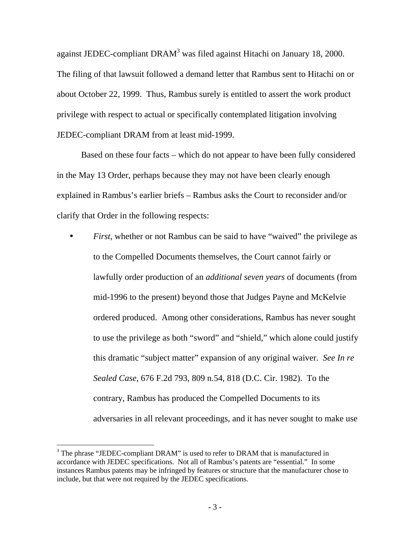against JEDEC-compliant DRAM<sup>3</sup> was filed against Hitachi on January 18, 2000. The filing of that lawsuit followed a demand letter that Rambus sent to Hitachi on or about October 22, 1999. Thus, Rambus surely is entitled to assert the work product privilege with respect to actual or specifically contemplated litigation involving JEDEC-compliant DRAM from at least mid-1999.

Based on these four facts – which do not appear to have been fully considered in the May 13 Order, perhaps because they may not have been clearly enough explained in Rambus's earlier briefs – Rambus asks the Court to reconsider and/or clarify that Order in the following respects:

• *First*, whether or not Rambus can be said to have "waived" the privilege as to the Compelled Documents themselves, the Court cannot fairly or lawfully order production of an *additional seven years* of documents (from mid-1996 to the present) beyond those that Judges Payne and McKelvie ordered produced. Among other considerations, Rambus has never sought to use the privilege as both "sword" and "shield," which alone could justify this dramatic "subject matter" expansion of any original waiver. *See In re Sealed Case*, 676 F.2d 793, 809 n.54, 818 (D.C. Cir. 1982). To the contrary, Rambus has produced the Compelled Documents to its adversaries in all relevant proceedings, and it has never sought to make use

 $\overline{a}$ 

 $3$  The phrase "JEDEC-compliant DRAM" is used to refer to DRAM that is manufactured in accordance with JEDEC specifications. Not all of Rambus's patents are "essential." In some instances Rambus patents may be infringed by features or structure that the manufacturer chose to include, but that were not required by the JEDEC specifications.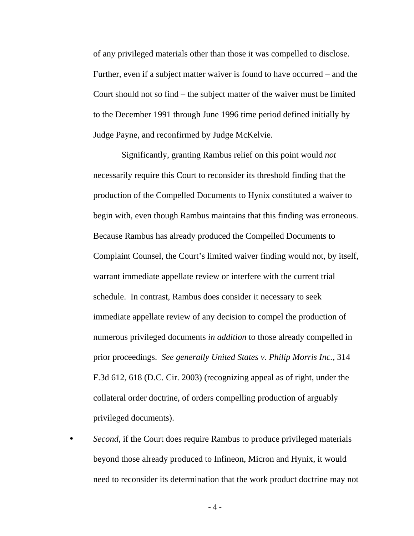of any privileged materials other than those it was compelled to disclose. Further, even if a subject matter waiver is found to have occurred – and the Court should not so find – the subject matter of the waiver must be limited to the December 1991 through June 1996 time period defined initially by Judge Payne, and reconfirmed by Judge McKelvie.

Significantly, granting Rambus relief on this point would *not* necessarily require this Court to reconsider its threshold finding that the production of the Compelled Documents to Hynix constituted a waiver to begin with, even though Rambus maintains that this finding was erroneous. Because Rambus has already produced the Compelled Documents to Complaint Counsel, the Court's limited waiver finding would not, by itself, warrant immediate appellate review or interfere with the current trial schedule. In contrast, Rambus does consider it necessary to seek immediate appellate review of any decision to compel the production of numerous privileged documents *in addition* to those already compelled in prior proceedings. *See generally United States v. Philip Morris Inc.*, 314 F.3d 612, 618 (D.C. Cir. 2003) (recognizing appeal as of right, under the collateral order doctrine, of orders compelling production of arguably privileged documents).

• *Second*, if the Court does require Rambus to produce privileged materials beyond those already produced to Infineon, Micron and Hynix, it would need to reconsider its determination that the work product doctrine may not

- 4 -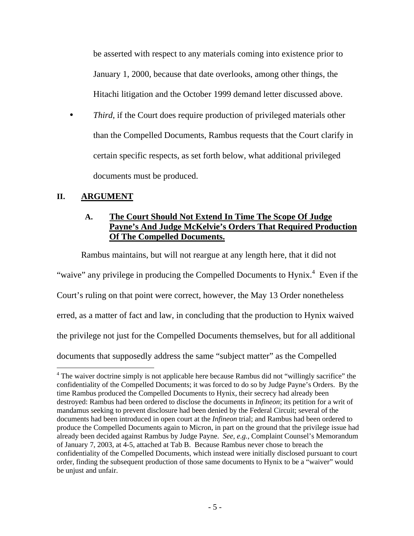be asserted with respect to any materials coming into existence prior to January 1, 2000, because that date overlooks, among other things, the Hitachi litigation and the October 1999 demand letter discussed above.

*Third*, if the Court does require production of privileged materials other than the Compelled Documents, Rambus requests that the Court clarify in certain specific respects, as set forth below, what additional privileged documents must be produced.

### **II. ARGUMENT**

 $\overline{a}$ 

# **A. The Court Should Not Extend In Time The Scope Of Judge Payne's And Judge McKelvie's Orders That Required Production Of The Compelled Documents.**

Rambus maintains, but will not reargue at any length here, that it did not

"waive" any privilege in producing the Compelled Documents to Hynix.<sup>4</sup> Even if the

Court's ruling on that point were correct, however, the May 13 Order nonetheless

erred, as a matter of fact and law, in concluding that the production to Hynix waived

the privilege not just for the Compelled Documents themselves, but for all additional

documents that supposedly address the same "subject matter" as the Compelled

<sup>&</sup>lt;sup>4</sup> The waiver doctrine simply is not applicable here because Rambus did not "willingly sacrifice" the confidentiality of the Compelled Documents; it was forced to do so by Judge Payne's Orders. By the time Rambus produced the Compelled Documents to Hynix, their secrecy had already been destroyed: Rambus had been ordered to disclose the documents in *Infineon*; its petition for a writ of mandamus seeking to prevent disclosure had been denied by the Federal Circuit; several of the documents had been introduced in open court at the *Infineon* trial; and Rambus had been ordered to produce the Compelled Documents again to Micron, in part on the ground that the privilege issue had already been decided against Rambus by Judge Payne. *See, e.g.*, Complaint Counsel's Memorandum of January 7, 2003, at 4-5, attached at Tab B. Because Rambus never chose to breach the confidentiality of the Compelled Documents, which instead were initially disclosed pursuant to court order, finding the subsequent production of those same documents to Hynix to be a "waiver" would be unjust and unfair.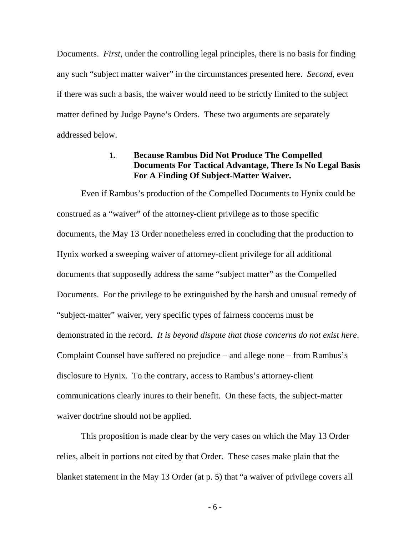Documents. *First*, under the controlling legal principles, there is no basis for finding any such "subject matter waiver" in the circumstances presented here. *Second*, even if there was such a basis, the waiver would need to be strictly limited to the subject matter defined by Judge Payne's Orders. These two arguments are separately addressed below.

#### **1. Because Rambus Did Not Produce The Compelled Documents For Tactical Advantage, There Is No Legal Basis For A Finding Of Subject-Matter Waiver.**

Even if Rambus's production of the Compelled Documents to Hynix could be construed as a "waiver" of the attorney-client privilege as to those specific documents, the May 13 Order nonetheless erred in concluding that the production to Hynix worked a sweeping waiver of attorney-client privilege for all additional documents that supposedly address the same "subject matter" as the Compelled Documents. For the privilege to be extinguished by the harsh and unusual remedy of "subject-matter" waiver, very specific types of fairness concerns must be demonstrated in the record. *It is beyond dispute that those concerns do not exist here*. Complaint Counsel have suffered no prejudice – and allege none – from Rambus's disclosure to Hynix. To the contrary, access to Rambus's attorney-client communications clearly inures to their benefit. On these facts, the subject-matter waiver doctrine should not be applied.

This proposition is made clear by the very cases on which the May 13 Order relies, albeit in portions not cited by that Order. These cases make plain that the blanket statement in the May 13 Order (at p. 5) that "a waiver of privilege covers all

- 6 -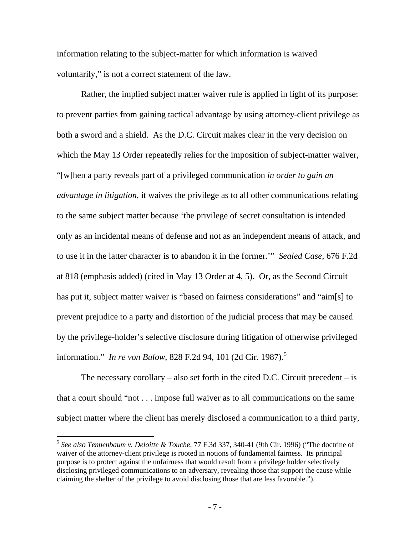information relating to the subject-matter for which information is waived voluntarily," is not a correct statement of the law.

Rather, the implied subject matter waiver rule is applied in light of its purpose: to prevent parties from gaining tactical advantage by using attorney-client privilege as both a sword and a shield. As the D.C. Circuit makes clear in the very decision on which the May 13 Order repeatedly relies for the imposition of subject-matter waiver, "[w]hen a party reveals part of a privileged communication *in order to gain an advantage in litigation*, it waives the privilege as to all other communications relating to the same subject matter because 'the privilege of secret consultation is intended only as an incidental means of defense and not as an independent means of attack, and to use it in the latter character is to abandon it in the former.'" *Sealed Case*, 676 F.2d at 818 (emphasis added) (cited in May 13 Order at 4, 5). Or, as the Second Circuit has put it, subject matter waiver is "based on fairness considerations" and "aim[s] to prevent prejudice to a party and distortion of the judicial process that may be caused by the privilege-holder's selective disclosure during litigation of otherwise privileged information." *In re von Bulow*, 828 F.2d 94, 101 (2d Cir. 1987). 5

The necessary corollary – also set forth in the cited D.C. Circuit precedent – is that a court should "not . . . impose full waiver as to all communications on the same subject matter where the client has merely disclosed a communication to a third party,

<sup>5</sup> *See also Tennenbaum v. Deloitte & Touche*, 77 F.3d 337, 340-41 (9th Cir. 1996) ("The doctrine of waiver of the attorney-client privilege is rooted in notions of fundamental fairness. Its principal purpose is to protect against the unfairness that would result from a privilege holder selectively disclosing privileged communications to an adversary, revealing those that support the cause while claiming the shelter of the privilege to avoid disclosing those that are less favorable.").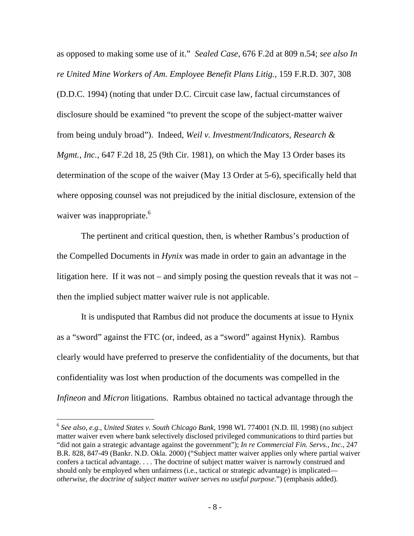as opposed to making some use of it." *Sealed Case*, 676 F.2d at 809 n.54; *see also In re United Mine Workers of Am. Employee Benefit Plans Litig.*, 159 F.R.D. 307, 308 (D.D.C. 1994) (noting that under D.C. Circuit case law, factual circumstances of disclosure should be examined "to prevent the scope of the subject-matter waiver from being unduly broad"). Indeed, *Weil v. Investment/Indicators, Research & Mgmt., Inc.*, 647 F.2d 18, 25 (9th Cir. 1981), on which the May 13 Order bases its determination of the scope of the waiver (May 13 Order at 5-6), specifically held that where opposing counsel was not prejudiced by the initial disclosure, extension of the waiver was inappropriate.<sup>6</sup>

The pertinent and critical question, then, is whether Rambus's production of the Compelled Documents in *Hynix* was made in order to gain an advantage in the litigation here. If it was not – and simply posing the question reveals that it was not – then the implied subject matter waiver rule is not applicable.

It is undisputed that Rambus did not produce the documents at issue to Hynix as a "sword" against the FTC (or, indeed, as a "sword" against Hynix). Rambus clearly would have preferred to preserve the confidentiality of the documents, but that confidentiality was lost when production of the documents was compelled in the *Infineon* and *Micron* litigations. Rambus obtained no tactical advantage through the

 $\overline{a}$ 

<sup>6</sup> *See also, e.g., United States v. South Chicago Bank*, 1998 WL 774001 (N.D. Ill. 1998) (no subject matter waiver even where bank selectively disclosed privileged communications to third parties but "did not gain a strategic advantage against the government"); *In re Commercial Fin. Servs., Inc.*, 247 B.R. 828, 847-49 (Bankr. N.D. Okla. 2000) ("Subject matter waiver applies only where partial waiver confers a tactical advantage. . . . The doctrine of subject matter waiver is narrowly construed and should only be employed when unfairness (i.e., tactical or strategic advantage) is implicated *otherwise, the doctrine of subject matter waiver serves no useful purpose*.") (emphasis added).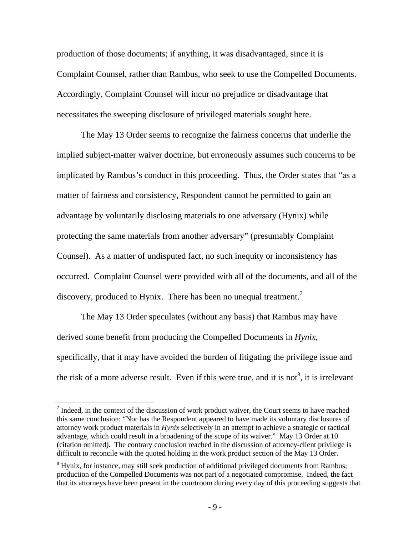production of those documents; if anything, it was disadvantaged, since it is Complaint Counsel, rather than Rambus, who seek to use the Compelled Documents. Accordingly, Complaint Counsel will incur no prejudice or disadvantage that necessitates the sweeping disclosure of privileged materials sought here.

The May 13 Order seems to recognize the fairness concerns that underlie the implied subject-matter waiver doctrine, but erroneously assumes such concerns to be implicated by Rambus's conduct in this proceeding. Thus, the Order states that "as a matter of fairness and consistency, Respondent cannot be permitted to gain an advantage by voluntarily disclosing materials to one adversary (Hynix) while protecting the same materials from another adversary" (presumably Complaint Counsel). As a matter of undisputed fact, no such inequity or inconsistency has occurred. Complaint Counsel were provided with all of the documents, and all of the discovery, produced to Hynix. There has been no unequal treatment.<sup>7</sup>

The May 13 Order speculates (without any basis) that Rambus may have derived some benefit from producing the Compelled Documents in *Hynix*, specifically, that it may have avoided the burden of litigating the privilege issue and the risk of a more adverse result. Even if this were true, and it is not  $\delta$ , it is irrelevant

 $<sup>7</sup>$  Indeed, in the context of the discussion of work product waiver, the Court seems to have reached</sup> this same conclusion: "Nor has the Respondent appeared to have made its voluntary disclosures of attorney work product materials in *Hynix* selectively in an attempt to achieve a strategic or tactical advantage, which could result in a broadening of the scope of its waiver." May 13 Order at 10 (citation omitted). The contrary conclusion reached in the discussion of attorney-client privilege is difficult to reconcile with the quoted holding in the work product section of the May 13 Order.

<sup>&</sup>lt;sup>8</sup> Hynix, for instance, may still seek production of additional privileged documents from Rambus; production of the Compelled Documents was not part of a negotiated compromise. Indeed, the fact that its attorneys have been present in the courtroom during every day of this proceeding suggests that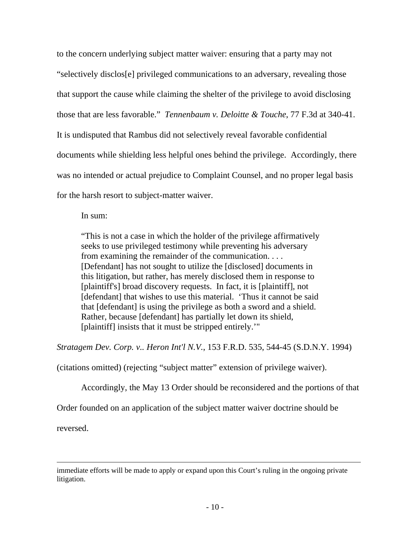to the concern underlying subject matter waiver: ensuring that a party may not "selectively disclos[e] privileged communications to an adversary, revealing those that support the cause while claiming the shelter of the privilege to avoid disclosing those that are less favorable." *Tennenbaum v. Deloitte & Touche*, 77 F.3d at 340-41. It is undisputed that Rambus did not selectively reveal favorable confidential documents while shielding less helpful ones behind the privilege. Accordingly, there was no intended or actual prejudice to Complaint Counsel, and no proper legal basis for the harsh resort to subject-matter waiver.

In sum:

"This is not a case in which the holder of the privilege affirmatively seeks to use privileged testimony while preventing his adversary from examining the remainder of the communication. . . . [Defendant] has not sought to utilize the [disclosed] documents in this litigation, but rather, has merely disclosed them in response to [plaintiff's] broad discovery requests. In fact, it is [plaintiff], not [defendant] that wishes to use this material. 'Thus it cannot be said that [defendant] is using the privilege as both a sword and a shield. Rather, because [defendant] has partially let down its shield, [plaintiff] insists that it must be stripped entirely.'"

*Stratagem Dev. Corp. v.. Heron Int'l N.V.*, 153 F.R.D. 535, 544-45 (S.D.N.Y. 1994)

(citations omitted) (rejecting "subject matter" extension of privilege waiver).

Accordingly, the May 13 Order should be reconsidered and the portions of that

Order founded on an application of the subject matter waiver doctrine should be

reversed.

immediate efforts will be made to apply or expand upon this Court's ruling in the ongoing private litigation.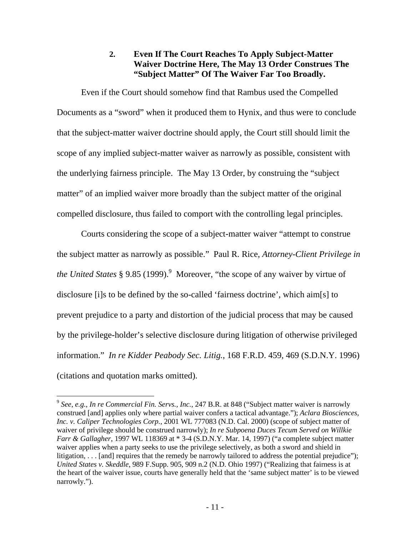## **2. Even If The Court Reaches To Apply Subject-Matter Waiver Doctrine Here, The May 13 Order Construes The "Subject Matter" Of The Waiver Far Too Broadly.**

Even if the Court should somehow find that Rambus used the Compelled Documents as a "sword" when it produced them to Hynix, and thus were to conclude that the subject-matter waiver doctrine should apply, the Court still should limit the scope of any implied subject-matter waiver as narrowly as possible, consistent with the underlying fairness principle. The May 13 Order, by construing the "subject matter" of an implied waiver more broadly than the subject matter of the original compelled disclosure, thus failed to comport with the controlling legal principles.

Courts considering the scope of a subject-matter waiver "attempt to construe the subject matter as narrowly as possible." Paul R. Rice, *Attorney-Client Privilege in*  the United States § 9.85 (1999).<sup>9</sup> Moreover, "the scope of any waiver by virtue of disclosure [i]s to be defined by the so-called 'fairness doctrine', which aim[s] to prevent prejudice to a party and distortion of the judicial process that may be caused by the privilege-holder's selective disclosure during litigation of otherwise privileged information." *In re Kidder Peabody Sec. Litig.*, 168 F.R.D. 459, 469 (S.D.N.Y. 1996) (citations and quotation marks omitted).

<sup>9</sup> *See*, *e.g.*, *In re Commercial Fin. Servs., Inc.*, 247 B.R. at 848 ("Subject matter waiver is narrowly construed [and] applies only where partial waiver confers a tactical advantage."); *Aclara Biosciences, Inc. v. Caliper Technologies Corp.*, 2001 WL 777083 (N.D. Cal. 2000) (scope of subject matter of waiver of privilege should be construed narrowly); *In re Subpoena Duces Tecum Served on Willkie Farr & Gallagher*, 1997 WL 118369 at \* 3-4 (S.D.N.Y. Mar. 14, 1997) ("a complete subject matter waiver applies when a party seeks to use the privilege selectively, as both a sword and shield in litigation, . . . [and] requires that the remedy be narrowly tailored to address the potential prejudice"); *United States v. Skeddle*, 989 F.Supp. 905, 909 n.2 (N.D. Ohio 1997) ("Realizing that fairness is at the heart of the waiver issue, courts have generally held that the 'same subject matter' is to be viewed narrowly.").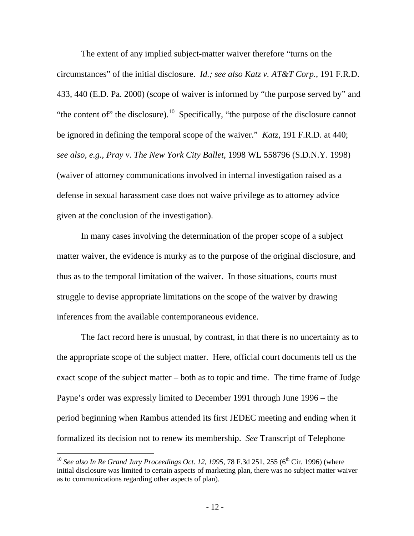The extent of any implied subject-matter waiver therefore "turns on the circumstances" of the initial disclosure. *Id.; see also Katz v. AT&T Corp.*, 191 F.R.D. 433, 440 (E.D. Pa. 2000) (scope of waiver is informed by "the purpose served by" and "the content of" the disclosure).<sup>10</sup> Specifically, "the purpose of the disclosure cannot be ignored in defining the temporal scope of the waiver." *Katz*, 191 F.R.D. at 440; *see also, e.g., Pray v. The New York City Ballet*, 1998 WL 558796 (S.D.N.Y. 1998) (waiver of attorney communications involved in internal investigation raised as a defense in sexual harassment case does not waive privilege as to attorney advice given at the conclusion of the investigation).

In many cases involving the determination of the proper scope of a subject matter waiver, the evidence is murky as to the purpose of the original disclosure, and thus as to the temporal limitation of the waiver. In those situations, courts must struggle to devise appropriate limitations on the scope of the waiver by drawing inferences from the available contemporaneous evidence.

The fact record here is unusual, by contrast, in that there is no uncertainty as to the appropriate scope of the subject matter. Here, official court documents tell us the exact scope of the subject matter – both as to topic and time. The time frame of Judge Payne's order was expressly limited to December 1991 through June 1996 – the period beginning when Rambus attended its first JEDEC meeting and ending when it formalized its decision not to renew its membership. *See* Transcript of Telephone

 $\overline{a}$ 

<sup>&</sup>lt;sup>10</sup> See also In Re Grand Jury Proceedings Oct. 12, 1995, 78 F.3d 251, 255 (6<sup>th</sup> Cir. 1996) (where initial disclosure was limited to certain aspects of marketing plan, there was no subject matter waiver as to communications regarding other aspects of plan).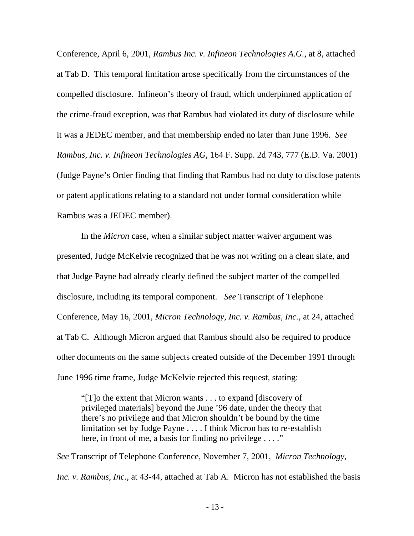Conference, April 6, 2001, *Rambus Inc. v. Infineon Technologies A.G.*, at 8, attached at Tab D. This temporal limitation arose specifically from the circumstances of the compelled disclosure. Infineon's theory of fraud, which underpinned application of the crime-fraud exception, was that Rambus had violated its duty of disclosure while it was a JEDEC member, and that membership ended no later than June 1996. *See Rambus, Inc. v. Infineon Technologies AG*, 164 F. Supp. 2d 743, 777 (E.D. Va. 2001) (Judge Payne's Order finding that finding that Rambus had no duty to disclose patents or patent applications relating to a standard not under formal consideration while Rambus was a JEDEC member).

In the *Micron* case, when a similar subject matter waiver argument was presented, Judge McKelvie recognized that he was not writing on a clean slate, and that Judge Payne had already clearly defined the subject matter of the compelled disclosure, including its temporal component. *See* Transcript of Telephone Conference, May 16, 2001, *Micron Technology, Inc. v. Rambus, Inc.*, at 24, attached at Tab C. Although Micron argued that Rambus should also be required to produce other documents on the same subjects created outside of the December 1991 through June 1996 time frame, Judge McKelvie rejected this request, stating:

"[T]o the extent that Micron wants . . . to expand [discovery of privileged materials] beyond the June '96 date, under the theory that there's no privilege and that Micron shouldn't be bound by the time limitation set by Judge Payne . . . . I think Micron has to re-establish here, in front of me, a basis for finding no privilege . . . ."

*See* Transcript of Telephone Conference, November 7, 2001, *Micron Technology, Inc. v. Rambus, Inc., at 43-44, attached at Tab A. Micron has not established the basis*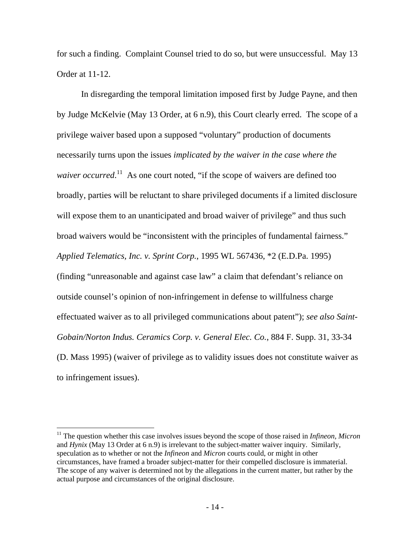for such a finding. Complaint Counsel tried to do so, but were unsuccessful. May 13 Order at 11-12.

In disregarding the temporal limitation imposed first by Judge Payne, and then by Judge McKelvie (May 13 Order, at 6 n.9), this Court clearly erred. The scope of a privilege waiver based upon a supposed "voluntary" production of documents necessarily turns upon the issues *implicated by the waiver in the case where the*  waiver occurred.<sup>11</sup> As one court noted, "if the scope of waivers are defined too broadly, parties will be reluctant to share privileged documents if a limited disclosure will expose them to an unanticipated and broad waiver of privilege" and thus such broad waivers would be "inconsistent with the principles of fundamental fairness." *Applied Telematics, Inc. v. Sprint Corp.*, 1995 WL 567436, \*2 (E.D.Pa. 1995) (finding "unreasonable and against case law" a claim that defendant's reliance on outside counsel's opinion of non-infringement in defense to willfulness charge effectuated waiver as to all privileged communications about patent"); *see also Saint-Gobain/Norton Indus. Ceramics Corp. v. General Elec. Co.*, 884 F. Supp. 31, 33-34 (D. Mass 1995) (waiver of privilege as to validity issues does not constitute waiver as to infringement issues).

<u>.</u>

<sup>&</sup>lt;sup>11</sup> The question whether this case involves issues beyond the scope of those raised in *Infineon, Micron* and *Hynix* (May 13 Order at 6 n.9) is irrelevant to the subject-matter waiver inquiry. Similarly, speculation as to whether or not the *Infineon* and *Micron* courts could, or might in other circumstances, have framed a broader subject-matter for their compelled disclosure is immaterial. The scope of any waiver is determined not by the allegations in the current matter, but rather by the actual purpose and circumstances of the original disclosure.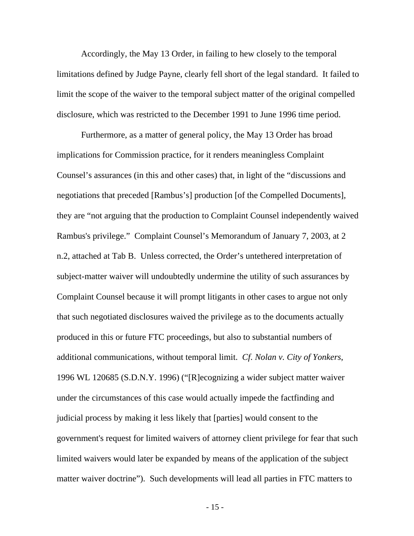Accordingly, the May 13 Order, in failing to hew closely to the temporal limitations defined by Judge Payne, clearly fell short of the legal standard. It failed to limit the scope of the waiver to the temporal subject matter of the original compelled disclosure, which was restricted to the December 1991 to June 1996 time period.

Furthermore, as a matter of general policy, the May 13 Order has broad implications for Commission practice, for it renders meaningless Complaint Counsel's assurances (in this and other cases) that, in light of the "discussions and negotiations that preceded [Rambus's] production [of the Compelled Documents], they are "not arguing that the production to Complaint Counsel independently waived Rambus's privilege." Complaint Counsel's Memorandum of January 7, 2003, at 2 n.2, attached at Tab B. Unless corrected, the Order's untethered interpretation of subject-matter waiver will undoubtedly undermine the utility of such assurances by Complaint Counsel because it will prompt litigants in other cases to argue not only that such negotiated disclosures waived the privilege as to the documents actually produced in this or future FTC proceedings, but also to substantial numbers of additional communications, without temporal limit. *Cf*. *Nolan v. City of Yonkers*, 1996 WL 120685 (S.D.N.Y. 1996) ("[R]ecognizing a wider subject matter waiver under the circumstances of this case would actually impede the factfinding and judicial process by making it less likely that [parties] would consent to the government's request for limited waivers of attorney client privilege for fear that such limited waivers would later be expanded by means of the application of the subject matter waiver doctrine"). Such developments will lead all parties in FTC matters to

- 15 -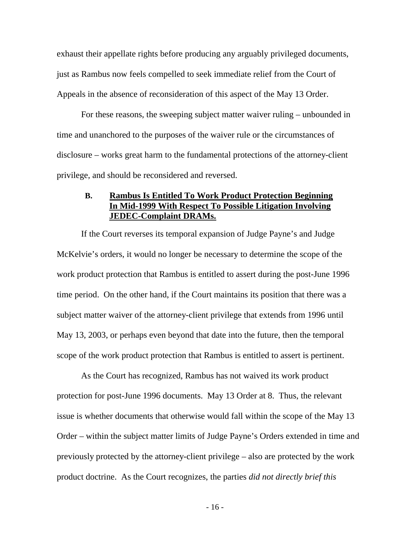exhaust their appellate rights before producing any arguably privileged documents, just as Rambus now feels compelled to seek immediate relief from the Court of Appeals in the absence of reconsideration of this aspect of the May 13 Order.

For these reasons, the sweeping subject matter waiver ruling – unbounded in time and unanchored to the purposes of the waiver rule or the circumstances of disclosure – works great harm to the fundamental protections of the attorney-client privilege, and should be reconsidered and reversed.

### **B. Rambus Is Entitled To Work Product Protection Beginning In Mid-1999 With Respect To Possible Litigation Involving JEDEC-Complaint DRAMs.**

If the Court reverses its temporal expansion of Judge Payne's and Judge McKelvie's orders, it would no longer be necessary to determine the scope of the work product protection that Rambus is entitled to assert during the post-June 1996 time period. On the other hand, if the Court maintains its position that there was a subject matter waiver of the attorney-client privilege that extends from 1996 until May 13, 2003, or perhaps even beyond that date into the future, then the temporal scope of the work product protection that Rambus is entitled to assert is pertinent.

As the Court has recognized, Rambus has not waived its work product protection for post-June 1996 documents. May 13 Order at 8. Thus, the relevant issue is whether documents that otherwise would fall within the scope of the May 13 Order – within the subject matter limits of Judge Payne's Orders extended in time and previously protected by the attorney-client privilege – also are protected by the work product doctrine. As the Court recognizes, the parties *did not directly brief this* 

- 16 -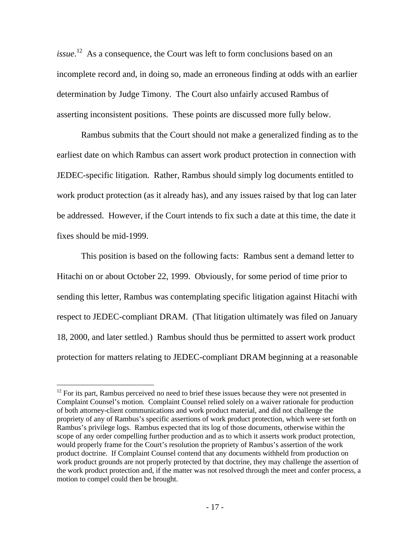*issue*. <sup>12</sup> As a consequence, the Court was left to form conclusions based on an incomplete record and, in doing so, made an erroneous finding at odds with an earlier determination by Judge Timony. The Court also unfairly accused Rambus of asserting inconsistent positions. These points are discussed more fully below.

Rambus submits that the Court should not make a generalized finding as to the earliest date on which Rambus can assert work product protection in connection with JEDEC-specific litigation. Rather, Rambus should simply log documents entitled to work product protection (as it already has), and any issues raised by that log can later be addressed. However, if the Court intends to fix such a date at this time, the date it fixes should be mid-1999.

This position is based on the following facts: Rambus sent a demand letter to Hitachi on or about October 22, 1999. Obviously, for some period of time prior to sending this letter, Rambus was contemplating specific litigation against Hitachi with respect to JEDEC-compliant DRAM. (That litigation ultimately was filed on January 18, 2000, and later settled.) Rambus should thus be permitted to assert work product protection for matters relating to JEDEC-compliant DRAM beginning at a reasonable

 $\overline{a}$ 

 $12$  For its part, Rambus perceived no need to brief these issues because they were not presented in Complaint Counsel's motion. Complaint Counsel relied solely on a waiver rationale for production of both attorney-client communications and work product material, and did not challenge the propriety of any of Rambus's specific assertions of work product protection, which were set forth on Rambus's privilege logs. Rambus expected that its log of those documents, otherwise within the scope of any order compelling further production and as to which it asserts work product protection, would properly frame for the Court's resolution the propriety of Rambus's assertion of the work product doctrine. If Complaint Counsel contend that any documents withheld from production on work product grounds are not properly protected by that doctrine, they may challenge the assertion of the work product protection and, if the matter was not resolved through the meet and confer process, a motion to compel could then be brought.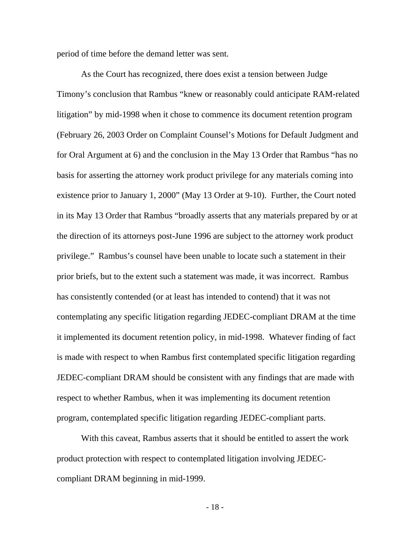period of time before the demand letter was sent.

As the Court has recognized, there does exist a tension between Judge Timony's conclusion that Rambus "knew or reasonably could anticipate RAM-related litigation" by mid-1998 when it chose to commence its document retention program (February 26, 2003 Order on Complaint Counsel's Motions for Default Judgment and for Oral Argument at 6) and the conclusion in the May 13 Order that Rambus "has no basis for asserting the attorney work product privilege for any materials coming into existence prior to January 1, 2000" (May 13 Order at 9-10). Further, the Court noted in its May 13 Order that Rambus "broadly asserts that any materials prepared by or at the direction of its attorneys post-June 1996 are subject to the attorney work product privilege." Rambus's counsel have been unable to locate such a statement in their prior briefs, but to the extent such a statement was made, it was incorrect. Rambus has consistently contended (or at least has intended to contend) that it was not contemplating any specific litigation regarding JEDEC-compliant DRAM at the time it implemented its document retention policy, in mid-1998. Whatever finding of fact is made with respect to when Rambus first contemplated specific litigation regarding JEDEC-compliant DRAM should be consistent with any findings that are made with respect to whether Rambus, when it was implementing its document retention program, contemplated specific litigation regarding JEDEC-compliant parts.

With this caveat, Rambus asserts that it should be entitled to assert the work product protection with respect to contemplated litigation involving JEDECcompliant DRAM beginning in mid-1999.

- 18 -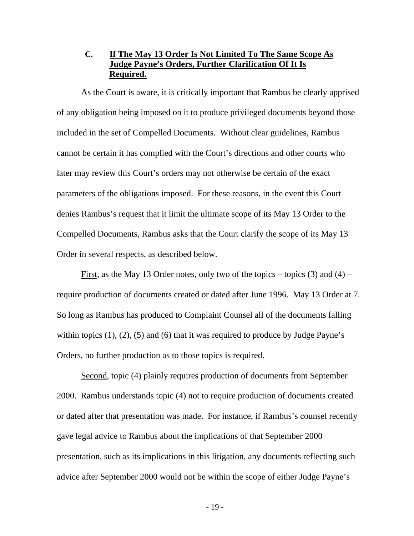## **C. If The May 13 Order Is Not Limited To The Same Scope As Judge Payne's Orders, Further Clarification Of It Is Required.**

As the Court is aware, it is critically important that Rambus be clearly apprised of any obligation being imposed on it to produce privileged documents beyond those included in the set of Compelled Documents. Without clear guidelines, Rambus cannot be certain it has complied with the Court's directions and other courts who later may review this Court's orders may not otherwise be certain of the exact parameters of the obligations imposed. For these reasons, in the event this Court denies Rambus's request that it limit the ultimate scope of its May 13 Order to the Compelled Documents, Rambus asks that the Court clarify the scope of its May 13 Order in several respects, as described below.

First, as the May 13 Order notes, only two of the topics – topics  $(3)$  and  $(4)$  – require production of documents created or dated after June 1996. May 13 Order at 7. So long as Rambus has produced to Complaint Counsel all of the documents falling within topics  $(1)$ ,  $(2)$ ,  $(5)$  and  $(6)$  that it was required to produce by Judge Payne's Orders, no further production as to those topics is required.

Second, topic (4) plainly requires production of documents from September 2000. Rambus understands topic (4) not to require production of documents created or dated after that presentation was made. For instance, if Rambus's counsel recently gave legal advice to Rambus about the implications of that September 2000 presentation, such as its implications in this litigation, any documents reflecting such advice after September 2000 would not be within the scope of either Judge Payne's

- 19 -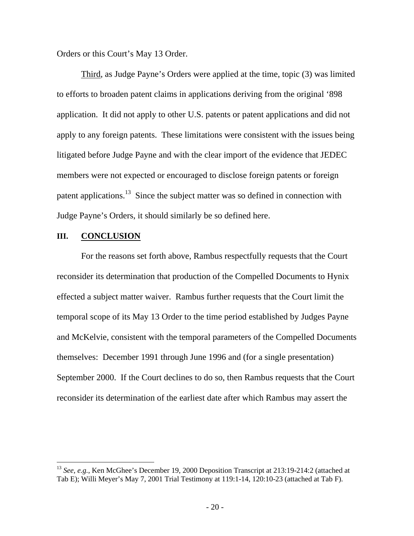Orders or this Court's May 13 Order.

Third, as Judge Payne's Orders were applied at the time, topic (3) was limited to efforts to broaden patent claims in applications deriving from the original '898 application. It did not apply to other U.S. patents or patent applications and did not apply to any foreign patents. These limitations were consistent with the issues being litigated before Judge Payne and with the clear import of the evidence that JEDEC members were not expected or encouraged to disclose foreign patents or foreign patent applications.<sup>13</sup> Since the subject matter was so defined in connection with Judge Payne's Orders, it should similarly be so defined here.

#### **III. CONCLUSION**

1

For the reasons set forth above, Rambus respectfully requests that the Court reconsider its determination that production of the Compelled Documents to Hynix effected a subject matter waiver. Rambus further requests that the Court limit the temporal scope of its May 13 Order to the time period established by Judges Payne and McKelvie, consistent with the temporal parameters of the Compelled Documents themselves: December 1991 through June 1996 and (for a single presentation) September 2000. If the Court declines to do so, then Rambus requests that the Court reconsider its determination of the earliest date after which Rambus may assert the

<sup>&</sup>lt;sup>13</sup> *See, e.g.*, Ken McGhee's December 19, 2000 Deposition Transcript at 213:19-214:2 (attached at Tab E); Willi Meyer's May 7, 2001 Trial Testimony at 119:1-14, 120:10-23 (attached at Tab F).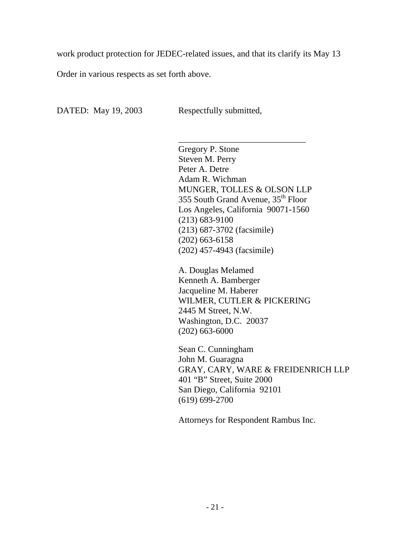work product protection for JEDEC-related issues, and that its clarify its May 13

Order in various respects as set forth above.

DATED: May 19, 2003 Respectfully submitted,

\_\_\_\_\_\_\_\_\_\_\_\_\_\_\_\_\_\_\_\_\_\_\_\_\_\_\_\_\_ Gregory P. Stone Steven M. Perry Peter A. Detre Adam R. Wichman MUNGER, TOLLES & OLSON LLP 355 South Grand Avenue, 35th Floor Los Angeles, California 90071-1560 (213) 683-9100 (213) 687-3702 (facsimile) (202) 663-6158 (202) 457-4943 (facsimile)

A. Douglas Melamed Kenneth A. Bamberger Jacqueline M. Haberer WILMER, CUTLER & PICKERING 2445 M Street, N.W. Washington, D.C. 20037 (202) 663-6000

Sean C. Cunningham John M. Guaragna GRAY, CARY, WARE & FREIDENRICH LLP 401 "B" Street, Suite 2000 San Diego, California 92101 (619) 699-2700

Attorneys for Respondent Rambus Inc.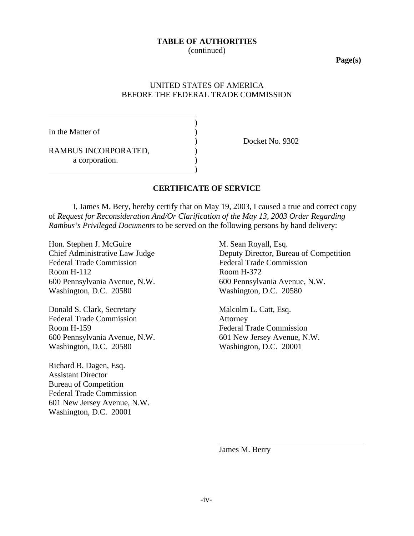#### **TABLE OF AUTHORITIES**

(continued)

**Page(s)**

### UNITED STATES OF AMERICA BEFORE THE FEDERAL TRADE COMMISSION

)

)

In the Matter of

RAMBUS INCORPORATED, a corporation.

) Docket No. 9302

#### **CERTIFICATE OF SERVICE**

I, James M. Bery, hereby certify that on May 19, 2003, I caused a true and correct copy of *Request for Reconsideration And/Or Clarification of the May 13, 2003 Order Regarding Rambus's Privileged Documents* to be served on the following persons by hand delivery:

Hon. Stephen J. McGuire M. Sean Royall, Esq. Federal Trade Commission Federal Trade Commission Room H-112 Room H-372 600 Pennsylvania Avenue, N.W. 600 Pennsylvania Avenue, N.W. Washington, D.C. 20580 Washington, D.C. 20580

Donald S. Clark, Secretary Malcolm L. Catt, Esq. Federal Trade Commission **Attorney** Room H-159 Federal Trade Commission 600 Pennsylvania Avenue, N.W. 601 New Jersey Avenue, N.W. Washington, D.C. 20580 Washington, D.C. 20001

Richard B. Dagen, Esq. Assistant Director Bureau of Competition Federal Trade Commission 601 New Jersey Avenue, N.W. Washington, D.C. 20001

Chief Administrative Law Judge Deputy Director, Bureau of Competition

James M. Berry